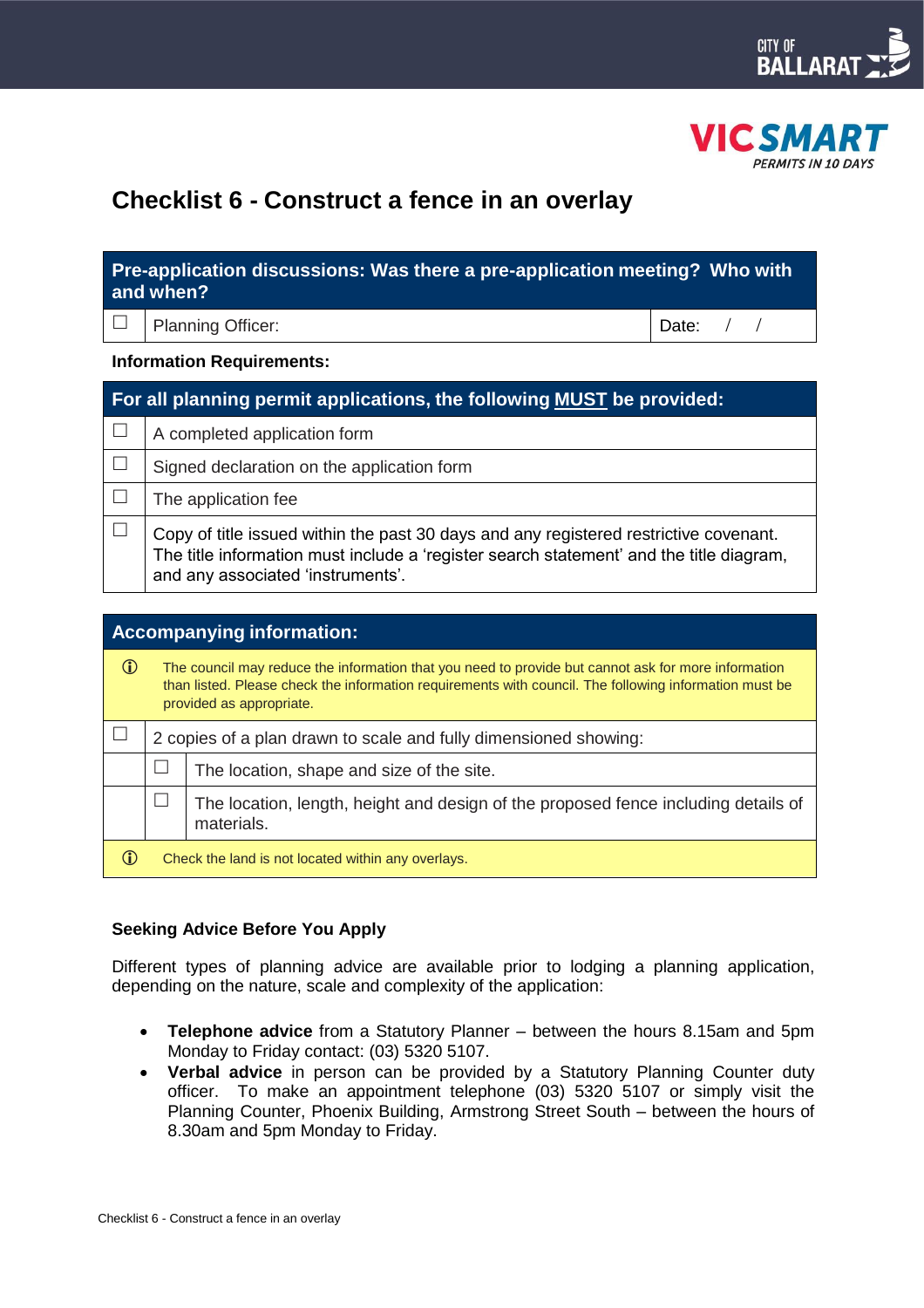



# **Checklist 6 - Construct a fence in an overlay**

| Pre-application discussions: Was there a pre-application meeting? Who with<br>and when? |             |  |
|-----------------------------------------------------------------------------------------|-------------|--|
| $\Box$ Planning Officer:                                                                | Date: $/$ / |  |

#### **Information Requirements:**

| For all planning permit applications, the following MUST be provided: |                                                                                                                                                                                                                       |  |  |
|-----------------------------------------------------------------------|-----------------------------------------------------------------------------------------------------------------------------------------------------------------------------------------------------------------------|--|--|
|                                                                       | A completed application form                                                                                                                                                                                          |  |  |
|                                                                       | Signed declaration on the application form                                                                                                                                                                            |  |  |
|                                                                       | The application fee                                                                                                                                                                                                   |  |  |
|                                                                       | Copy of title issued within the past 30 days and any registered restrictive covenant.<br>The title information must include a 'register search statement' and the title diagram,<br>and any associated 'instruments'. |  |  |

| <b>Accompanying information:</b> |                                                                  |                                                                                                                                                                                                                                           |  |  |
|----------------------------------|------------------------------------------------------------------|-------------------------------------------------------------------------------------------------------------------------------------------------------------------------------------------------------------------------------------------|--|--|
| $\circled{0}$                    |                                                                  | The council may reduce the information that you need to provide but cannot ask for more information<br>than listed. Please check the information requirements with council. The following information must be<br>provided as appropriate. |  |  |
|                                  | 2 copies of a plan drawn to scale and fully dimensioned showing: |                                                                                                                                                                                                                                           |  |  |
|                                  |                                                                  | The location, shape and size of the site.                                                                                                                                                                                                 |  |  |
|                                  |                                                                  | The location, length, height and design of the proposed fence including details of<br>materials.                                                                                                                                          |  |  |
|                                  | Check the land is not located within any overlays.               |                                                                                                                                                                                                                                           |  |  |

# **Seeking Advice Before You Apply**

Different types of planning advice are available prior to lodging a planning application, depending on the nature, scale and complexity of the application:

- **Telephone advice** from a Statutory Planner between the hours 8.15am and 5pm Monday to Friday contact: (03) 5320 5107.
- **Verbal advice** in person can be provided by a Statutory Planning Counter duty officer. To make an appointment telephone (03) 5320 5107 or simply visit the Planning Counter, Phoenix Building, Armstrong Street South – between the hours of 8.30am and 5pm Monday to Friday.